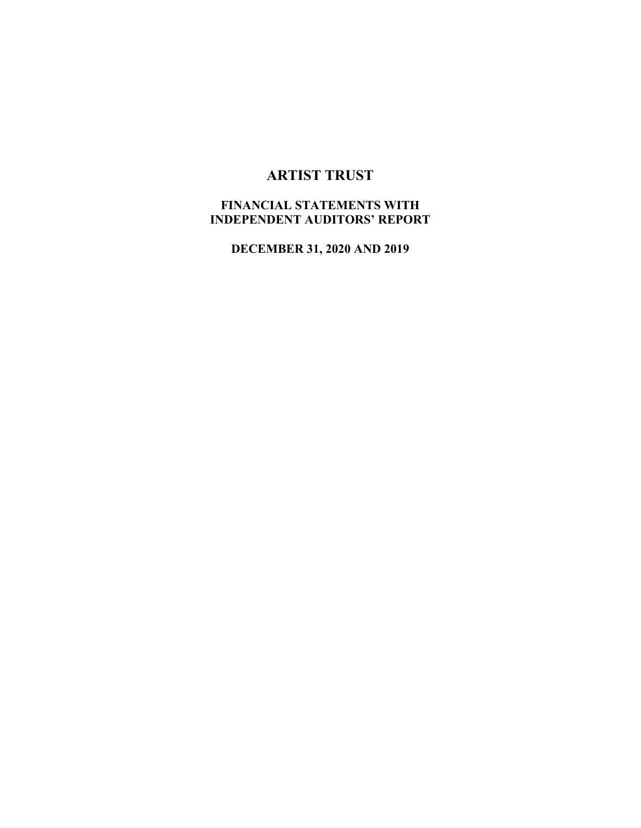# **ARTIST TRUST**

# **FINANCIAL STATEMENTS WITH INDEPENDENT AUDITORS' REPORT**

**DECEMBER 31, 2020 AND 2019**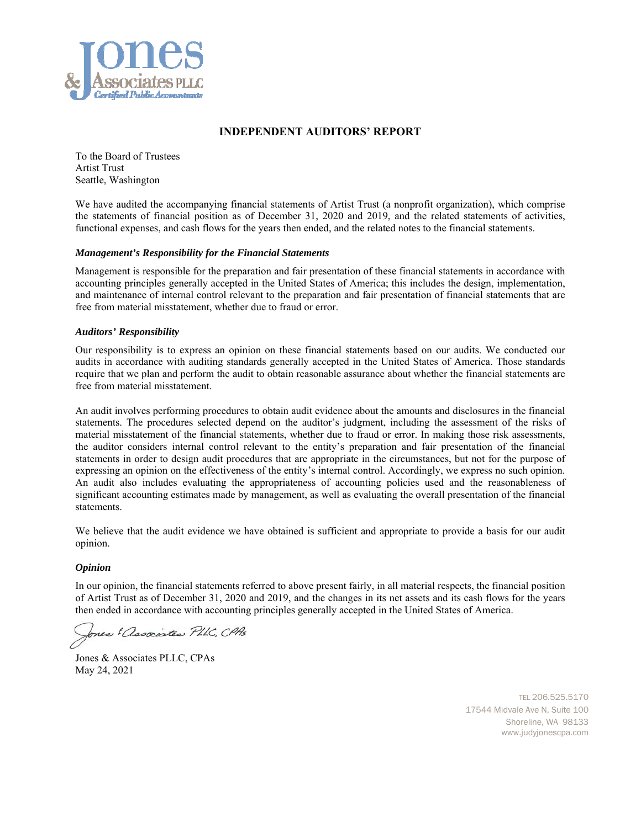

#### **INDEPENDENT AUDITORS' REPORT**

To the Board of Trustees Artist Trust Seattle, Washington

We have audited the accompanying financial statements of Artist Trust (a nonprofit organization), which comprise the statements of financial position as of December 31, 2020 and 2019, and the related statements of activities, functional expenses, and cash flows for the years then ended, and the related notes to the financial statements.

#### *Management's Responsibility for the Financial Statements*

Management is responsible for the preparation and fair presentation of these financial statements in accordance with accounting principles generally accepted in the United States of America; this includes the design, implementation, and maintenance of internal control relevant to the preparation and fair presentation of financial statements that are free from material misstatement, whether due to fraud or error.

#### *Auditors' Responsibility*

Our responsibility is to express an opinion on these financial statements based on our audits. We conducted our audits in accordance with auditing standards generally accepted in the United States of America. Those standards require that we plan and perform the audit to obtain reasonable assurance about whether the financial statements are free from material misstatement.

An audit involves performing procedures to obtain audit evidence about the amounts and disclosures in the financial statements. The procedures selected depend on the auditor's judgment, including the assessment of the risks of material misstatement of the financial statements, whether due to fraud or error. In making those risk assessments, the auditor considers internal control relevant to the entity's preparation and fair presentation of the financial statements in order to design audit procedures that are appropriate in the circumstances, but not for the purpose of expressing an opinion on the effectiveness of the entity's internal control. Accordingly, we express no such opinion. An audit also includes evaluating the appropriateness of accounting policies used and the reasonableness of significant accounting estimates made by management, as well as evaluating the overall presentation of the financial statements.

We believe that the audit evidence we have obtained is sufficient and appropriate to provide a basis for our audit opinion.

#### *Opinion*

In our opinion, the financial statements referred to above present fairly, in all material respects, the financial position of Artist Trust as of December 31, 2020 and 2019, and the changes in its net assets and its cash flows for the years then ended in accordance with accounting principles generally accepted in the United States of America.

Jones & associates PLLC, CPAs

Jones & Associates PLLC, CPAs May 24, 2021

 TEL 206.525.5170 17544 Midvale Ave N, Suite 100 Shoreline, WA 98133 www.judyjonescpa.com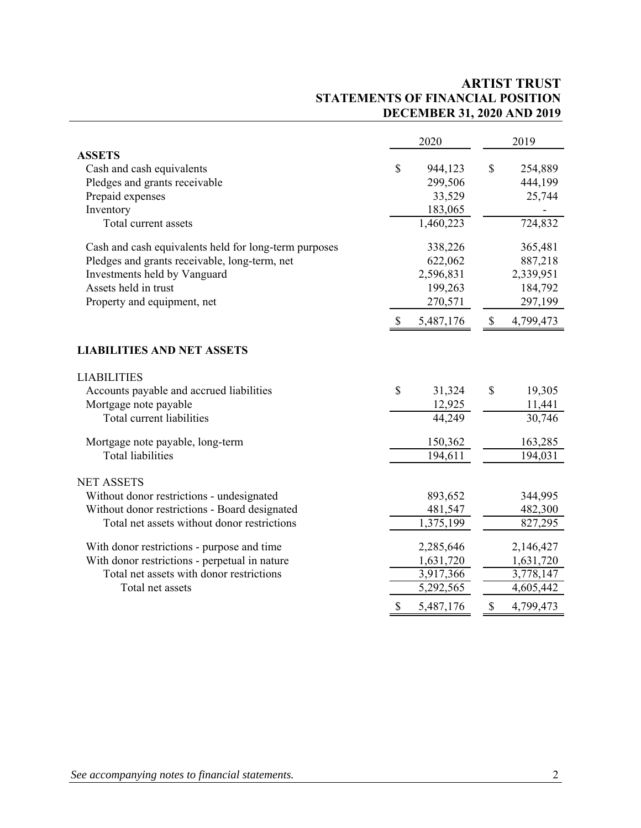# **ARTIST TRUST STATEMENTS OF FINANCIAL POSITION DECEMBER 31, 2020 AND 2019**

|                                                       | 2020 |           |                           | 2019      |  |  |
|-------------------------------------------------------|------|-----------|---------------------------|-----------|--|--|
| <b>ASSETS</b>                                         |      |           |                           |           |  |  |
| Cash and cash equivalents                             | \$   | 944,123   | \$                        | 254,889   |  |  |
| Pledges and grants receivable                         |      | 299,506   |                           | 444,199   |  |  |
| Prepaid expenses                                      |      | 33,529    |                           | 25,744    |  |  |
| Inventory                                             |      | 183,065   |                           |           |  |  |
| Total current assets                                  |      | 1,460,223 |                           | 724,832   |  |  |
| Cash and cash equivalents held for long-term purposes |      | 338,226   |                           | 365,481   |  |  |
| Pledges and grants receivable, long-term, net         |      | 622,062   |                           | 887,218   |  |  |
| Investments held by Vanguard                          |      | 2,596,831 |                           | 2,339,951 |  |  |
| Assets held in trust                                  |      | 199,263   |                           | 184,792   |  |  |
| Property and equipment, net                           |      | 270,571   |                           | 297,199   |  |  |
|                                                       | -S   | 5,487,176 | $\boldsymbol{\mathsf{S}}$ | 4,799,473 |  |  |
| <b>LIABILITIES AND NET ASSETS</b>                     |      |           |                           |           |  |  |
| <b>LIABILITIES</b>                                    |      |           |                           |           |  |  |
| Accounts payable and accrued liabilities              | \$   | 31,324    | \$                        | 19,305    |  |  |
| Mortgage note payable                                 |      | 12,925    |                           | 11,441    |  |  |
| Total current liabilities                             |      | 44,249    |                           | 30,746    |  |  |
| Mortgage note payable, long-term                      |      | 150,362   |                           | 163,285   |  |  |
| <b>Total liabilities</b>                              |      | 194,611   |                           | 194,031   |  |  |
| <b>NET ASSETS</b>                                     |      |           |                           |           |  |  |
| Without donor restrictions - undesignated             |      | 893,652   |                           | 344,995   |  |  |
| Without donor restrictions - Board designated         |      | 481,547   |                           | 482,300   |  |  |
| Total net assets without donor restrictions           |      | 1,375,199 |                           | 827,295   |  |  |
| With donor restrictions - purpose and time            |      | 2,285,646 |                           | 2,146,427 |  |  |
| With donor restrictions - perpetual in nature         |      | 1,631,720 |                           | 1,631,720 |  |  |
| Total net assets with donor restrictions              |      | 3,917,366 |                           | 3,778,147 |  |  |
| Total net assets                                      |      | 5,292,565 |                           | 4,605,442 |  |  |
|                                                       | $\$$ | 5,487,176 | \$                        | 4,799,473 |  |  |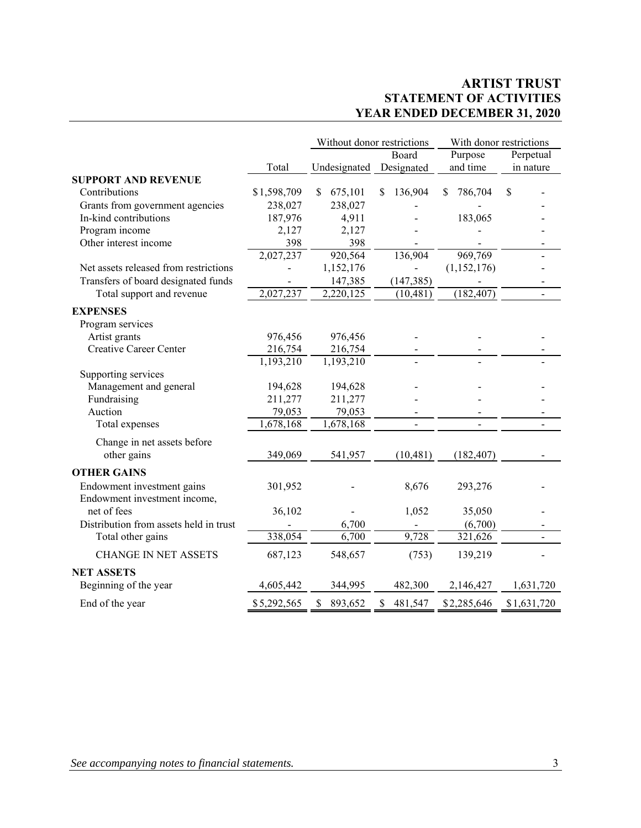# **ARTIST TRUST STATEMENT OF ACTIVITIES YEAR ENDED DECEMBER 31, 2020**

|                                        |             | Without donor restrictions |                | With donor restrictions |                |  |
|----------------------------------------|-------------|----------------------------|----------------|-------------------------|----------------|--|
|                                        |             |                            | Board          | Purpose                 | Perpetual      |  |
|                                        | Total       | Undesignated               | Designated     | and time                | in nature      |  |
| <b>SUPPORT AND REVENUE</b>             |             |                            |                |                         |                |  |
| Contributions                          | \$1,598,709 | \$.<br>675,101             | 136,904<br>\$  | 786,704<br>\$.          | \$             |  |
| Grants from government agencies        | 238,027     | 238,027                    |                |                         |                |  |
| In-kind contributions                  | 187,976     | 4,911                      |                | 183,065                 |                |  |
| Program income                         | 2,127       | 2,127                      |                |                         |                |  |
| Other interest income                  | 398         | 398                        |                |                         |                |  |
|                                        | 2,027,237   | 920,564                    | 136,904        | 969,769                 |                |  |
| Net assets released from restrictions  |             | 1,152,176                  |                | (1,152,176)             |                |  |
| Transfers of board designated funds    |             | 147,385                    | (147, 385)     |                         |                |  |
| Total support and revenue              | 2,027,237   | 2,220,125                  | (10, 481)      | (182, 407)              |                |  |
| <b>EXPENSES</b>                        |             |                            |                |                         |                |  |
| Program services                       |             |                            |                |                         |                |  |
| Artist grants                          | 976,456     | 976,456                    |                |                         |                |  |
| Creative Career Center                 | 216,754     | 216,754                    |                |                         |                |  |
|                                        | 1,193,210   | 1,193,210                  |                |                         |                |  |
| Supporting services                    |             |                            |                |                         |                |  |
| Management and general                 | 194,628     | 194,628                    |                |                         |                |  |
| Fundraising                            | 211,277     | 211,277                    |                |                         |                |  |
| Auction                                | 79,053      | 79,053                     |                |                         |                |  |
| Total expenses                         | 1,678,168   | 1,678,168                  | $\overline{a}$ |                         | $\blacksquare$ |  |
| Change in net assets before            |             |                            |                |                         |                |  |
| other gains                            | 349,069     | 541,957                    | (10, 481)      | (182, 407)              |                |  |
|                                        |             |                            |                |                         |                |  |
| <b>OTHER GAINS</b>                     |             |                            |                |                         |                |  |
| Endowment investment gains             | 301,952     |                            | 8,676          | 293,276                 |                |  |
| Endowment investment income,           |             |                            |                |                         |                |  |
| net of fees                            | 36,102      |                            | 1,052          | 35,050                  |                |  |
| Distribution from assets held in trust |             | 6,700                      |                | (6,700)                 |                |  |
| Total other gains                      | 338,054     | 6,700                      | 9,728          | 321,626                 |                |  |
| <b>CHANGE IN NET ASSETS</b>            | 687,123     | 548,657                    | (753)          | 139,219                 |                |  |
| <b>NET ASSETS</b>                      |             |                            |                |                         |                |  |
| Beginning of the year                  | 4,605,442   | 344,995                    | 482,300        | 2,146,427               | 1,631,720      |  |
| End of the year                        | \$5,292,565 | \$<br>893,652              | 481,547<br>\$  | \$2,285,646             | \$1,631,720    |  |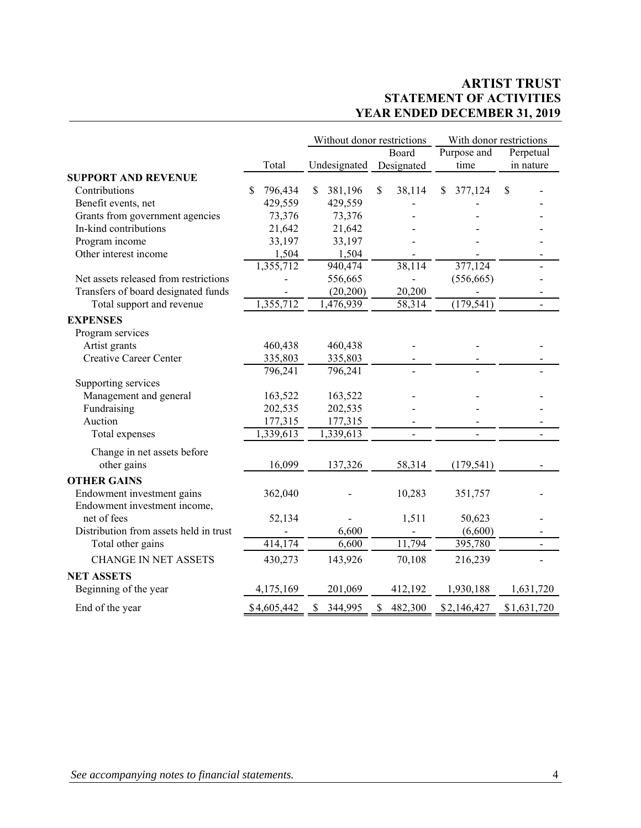# **ARTIST TRUST STATEMENT OF ACTIVITIES YEAR ENDED DECEMBER 31, 2019**

|                                        |               | Without donor restrictions |                         | With donor restrictions |                          |
|----------------------------------------|---------------|----------------------------|-------------------------|-------------------------|--------------------------|
|                                        |               |                            | Board                   | Purpose and             | Perpetual                |
|                                        | Total         | Undesignated               | Designated              | time                    | in nature                |
| <b>SUPPORT AND REVENUE</b>             |               |                            |                         |                         |                          |
| Contributions                          | 796,434<br>\$ | \$<br>381,196              | $\mathcal{S}$<br>38,114 | \$.<br>377,124          | \$                       |
| Benefit events, net                    | 429,559       | 429,559                    |                         |                         |                          |
| Grants from government agencies        | 73,376        | 73,376                     |                         |                         |                          |
| In-kind contributions                  | 21,642        | 21,642                     |                         |                         |                          |
| Program income                         | 33,197        | 33,197                     |                         |                         |                          |
| Other interest income                  | 1,504         | 1,504                      |                         |                         |                          |
|                                        | 1,355,712     | 940,474                    | 38,114                  | 377,124                 |                          |
| Net assets released from restrictions  |               | 556,665                    |                         | (556, 665)              |                          |
| Transfers of board designated funds    |               | (20, 200)                  | 20,200                  |                         |                          |
| Total support and revenue              | 1,355,712     | 1,476,939                  | 58,314                  | (179, 541)              | $\overline{a}$           |
| <b>EXPENSES</b>                        |               |                            |                         |                         |                          |
| Program services                       |               |                            |                         |                         |                          |
| Artist grants                          | 460,438       | 460,438                    |                         |                         |                          |
| <b>Creative Career Center</b>          | 335,803       | 335,803                    |                         |                         |                          |
|                                        | 796,241       | 796,241                    |                         |                         |                          |
| Supporting services                    |               |                            |                         |                         |                          |
| Management and general                 | 163,522       | 163,522                    |                         |                         |                          |
| Fundraising                            | 202,535       | 202,535                    |                         |                         |                          |
| Auction                                | 177,315       | 177,315                    |                         |                         |                          |
| Total expenses                         | 1,339,613     | 1,339,613                  |                         |                         |                          |
| Change in net assets before            |               |                            |                         |                         |                          |
| other gains                            | 16,099        | 137,326                    | 58,314                  | (179, 541)              |                          |
| <b>OTHER GAINS</b>                     |               |                            |                         |                         |                          |
| Endowment investment gains             | 362,040       |                            | 10,283                  | 351,757                 |                          |
| Endowment investment income,           |               |                            |                         |                         |                          |
| net of fees                            | 52,134        |                            | 1,511                   | 50,623                  |                          |
| Distribution from assets held in trust |               | 6,600                      |                         | (6,600)                 |                          |
| Total other gains                      | 414,174       | 6,600                      | 11,794                  | 395,780                 | $\overline{\phantom{0}}$ |
| <b>CHANGE IN NET ASSETS</b>            | 430,273       | 143,926                    | 70,108                  | 216,239                 |                          |
|                                        |               |                            |                         |                         |                          |
| <b>NET ASSETS</b>                      |               |                            |                         |                         |                          |
| Beginning of the year                  | 4,175,169     | 201,069                    | 412,192                 | 1,930,188               | 1,631,720                |
| End of the year                        | \$4,605,442   | \$<br>344,995              | 482,300<br>\$           | \$2,146,427             | \$1,631,720              |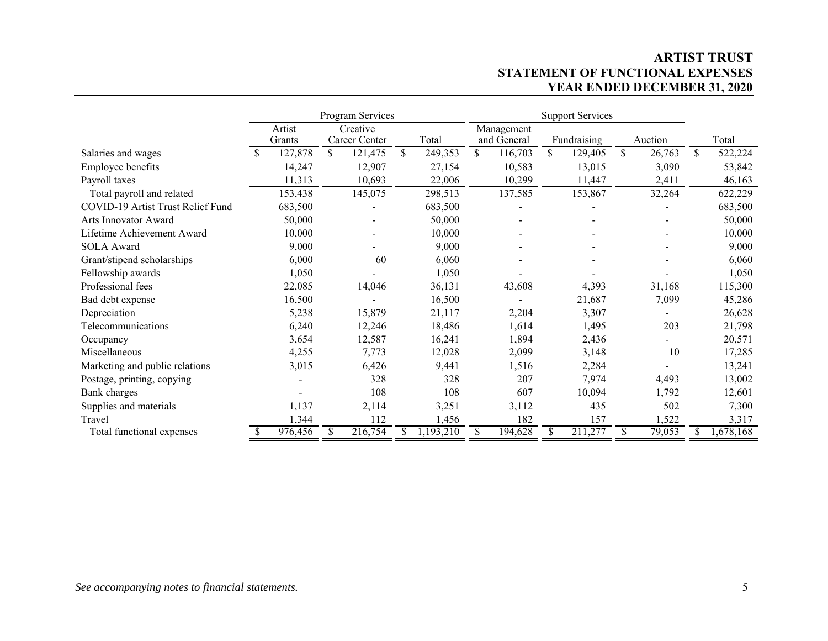# **ARTIST TRUST STATEMENT OF FUNCTIONAL EXPENSES YEAR ENDED DECEMBER 31, 2020**

|                                   |               |                  | Program Services          |               | <b>Support Services</b> |                           |    |             |    |         |               |
|-----------------------------------|---------------|------------------|---------------------------|---------------|-------------------------|---------------------------|----|-------------|----|---------|---------------|
|                                   |               | Artist<br>Grants | Creative<br>Career Center | Total         |                         | Management<br>and General |    | Fundraising |    | Auction | Total         |
| Salaries and wages                | <sup>\$</sup> | 127,878          | \$<br>121,475             | \$<br>249,353 | \$                      | 116,703                   | \$ | 129,405     | \$ | 26,763  | \$<br>522,224 |
| Employee benefits                 |               | 14,247           | 12,907                    | 27,154        |                         | 10,583                    |    | 13,015      |    | 3,090   | 53,842        |
| Payroll taxes                     |               | 11,313           | 10,693                    | 22,006        |                         | 10,299                    |    | 11,447      |    | 2,411   | 46,163        |
| Total payroll and related         |               | 153,438          | 145,075                   | 298,513       |                         | 137,585                   |    | 153,867     |    | 32,264  | 622,229       |
| COVID-19 Artist Trust Relief Fund |               | 683,500          |                           | 683,500       |                         |                           |    |             |    |         | 683,500       |
| <b>Arts Innovator Award</b>       |               | 50,000           |                           | 50,000        |                         |                           |    |             |    |         | 50,000        |
| Lifetime Achievement Award        |               | 10,000           |                           | 10,000        |                         |                           |    |             |    |         | 10,000        |
| <b>SOLA</b> Award                 |               | 9,000            |                           | 9,000         |                         |                           |    |             |    |         | 9,000         |
| Grant/stipend scholarships        |               | 6,000            | 60                        | 6,060         |                         |                           |    |             |    |         | 6,060         |
| Fellowship awards                 |               | 1,050            |                           | 1,050         |                         |                           |    |             |    |         | 1,050         |
| Professional fees                 |               | 22,085           | 14,046                    | 36,131        |                         | 43,608                    |    | 4,393       |    | 31,168  | 115,300       |
| Bad debt expense                  |               | 16,500           |                           | 16,500        |                         |                           |    | 21,687      |    | 7,099   | 45,286        |
| Depreciation                      |               | 5,238            | 15,879                    | 21,117        |                         | 2,204                     |    | 3,307       |    |         | 26,628        |
| Telecommunications                |               | 6,240            | 12,246                    | 18,486        |                         | 1,614                     |    | 1,495       |    | 203     | 21,798        |
| Occupancy                         |               | 3,654            | 12,587                    | 16,241        |                         | 1,894                     |    | 2,436       |    |         | 20,571        |
| Miscellaneous                     |               | 4,255            | 7,773                     | 12,028        |                         | 2,099                     |    | 3,148       |    | 10      | 17,285        |
| Marketing and public relations    |               | 3,015            | 6,426                     | 9,441         |                         | 1,516                     |    | 2,284       |    |         | 13,241        |
| Postage, printing, copying        |               |                  | 328                       | 328           |                         | 207                       |    | 7,974       |    | 4,493   | 13,002        |
| Bank charges                      |               |                  | 108                       | 108           |                         | 607                       |    | 10,094      |    | 1,792   | 12,601        |
| Supplies and materials            |               | 1,137            | 2,114                     | 3,251         |                         | 3,112                     |    | 435         |    | 502     | 7,300         |
| Travel                            |               | 1,344            | 112                       | 1,456         |                         | 182                       |    | 157         |    | 1,522   | 3,317         |
| Total functional expenses         |               | 976,456          | \$<br>216,754             | ,193,210      | S.                      | 194,628                   | S. | 211,277     | S  | 79,053  | 1,678,168     |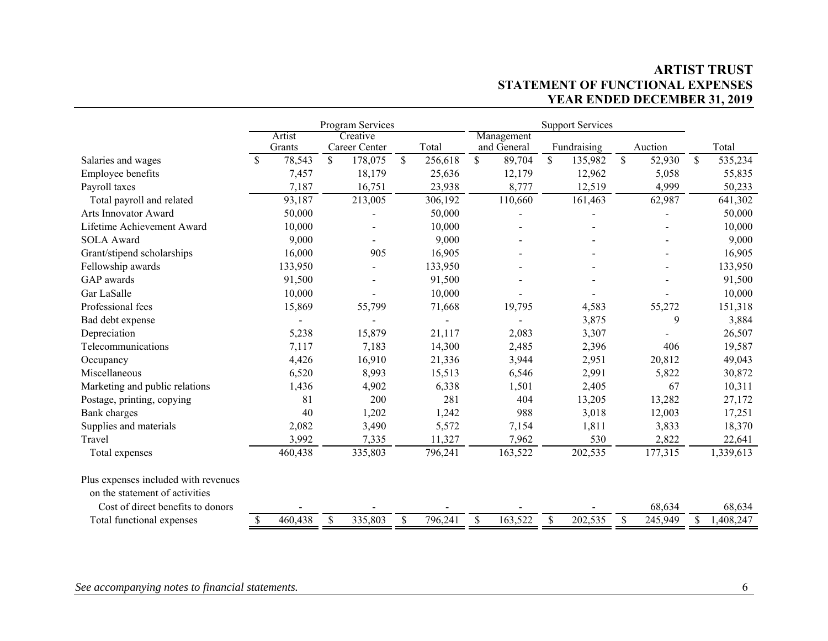# **ARTIST TRUST STATEMENT OF FUNCTIONAL EXPENSES YEAR ENDED DECEMBER 31, 2019**

|                                      |               | Program Services |              |               |              | <b>Support Services</b> |    |             |              |             |               |                 |
|--------------------------------------|---------------|------------------|--------------|---------------|--------------|-------------------------|----|-------------|--------------|-------------|---------------|-----------------|
|                                      |               | Artist           |              | Creative      |              |                         |    | Management  |              |             |               |                 |
|                                      |               | Grants           |              | Career Center |              | Total                   |    | and General |              | Fundraising | Auction       | Total           |
| Salaries and wages                   | <sup>\$</sup> | 78,543           | $\mathbb{S}$ | 178,075       | $\mathbb{S}$ | 256,618                 | \$ | 89,704      | $\mathbb{S}$ | 135,982     | \$<br>52,930  | \$<br>535,234   |
| Employee benefits                    |               | 7,457            |              | 18,179        |              | 25,636                  |    | 12,179      |              | 12,962      | 5,058         | 55,835          |
| Payroll taxes                        |               | 7,187            |              | 16,751        |              | 23,938                  |    | 8,777       |              | 12,519      | 4,999         | 50,233          |
| Total payroll and related            |               | 93,187           |              | 213,005       |              | 306,192                 |    | 110,660     |              | 161,463     | 62,987        | 641,302         |
| Arts Innovator Award                 |               | 50,000           |              |               |              | 50,000                  |    |             |              |             |               | 50,000          |
| Lifetime Achievement Award           |               | 10,000           |              |               |              | 10,000                  |    |             |              |             |               | 10,000          |
| <b>SOLA</b> Award                    |               | 9,000            |              |               |              | 9,000                   |    |             |              |             |               | 9,000           |
| Grant/stipend scholarships           |               | 16,000           |              | 905           |              | 16,905                  |    |             |              |             |               | 16,905          |
| Fellowship awards                    |               | 133,950          |              |               |              | 133,950                 |    |             |              |             |               | 133,950         |
| GAP awards                           |               | 91,500           |              |               |              | 91,500                  |    |             |              |             |               | 91,500          |
| Gar LaSalle                          |               | 10,000           |              |               |              | 10,000                  |    |             |              |             |               | 10,000          |
| Professional fees                    |               | 15,869           |              | 55,799        |              | 71,668                  |    | 19,795      |              | 4,583       | 55,272        | 151,318         |
| Bad debt expense                     |               |                  |              |               |              |                         |    |             |              | 3,875       | 9             | 3,884           |
| Depreciation                         |               | 5,238            |              | 15,879        |              | 21,117                  |    | 2,083       |              | 3,307       |               | 26,507          |
| Telecommunications                   |               | 7,117            |              | 7,183         |              | 14,300                  |    | 2,485       |              | 2,396       | 406           | 19,587          |
| Occupancy                            |               | 4,426            |              | 16,910        |              | 21,336                  |    | 3,944       |              | 2,951       | 20,812        | 49,043          |
| Miscellaneous                        |               | 6,520            |              | 8,993         |              | 15,513                  |    | 6,546       |              | 2,991       | 5,822         | 30,872          |
| Marketing and public relations       |               | 1,436            |              | 4,902         |              | 6,338                   |    | 1,501       |              | 2,405       | 67            | 10,311          |
| Postage, printing, copying           |               | 81               |              | 200           |              | 281                     |    | 404         |              | 13,205      | 13,282        | 27,172          |
| <b>Bank</b> charges                  |               | 40               |              | 1,202         |              | 1,242                   |    | 988         |              | 3,018       | 12,003        | 17,251          |
| Supplies and materials               |               | 2,082            |              | 3,490         |              | 5,572                   |    | 7,154       |              | 1,811       | 3,833         | 18,370          |
| Travel                               |               | 3,992            |              | 7,335         |              | 11,327                  |    | 7,962       |              | 530         | 2,822         | 22,641          |
| Total expenses                       |               | 460,438          |              | 335,803       |              | 796,241                 |    | 163,522     |              | 202,535     | 177,315       | 1,339,613       |
| Plus expenses included with revenues |               |                  |              |               |              |                         |    |             |              |             |               |                 |
| on the statement of activities       |               |                  |              |               |              |                         |    |             |              |             |               |                 |
| Cost of direct benefits to donors    |               |                  |              |               |              |                         |    |             |              |             | 68,634        | 68,634          |
| Total functional expenses            | \$            | 460,438          | \$           | 335,803       | \$           | 796,241                 | \$ | 163,522     | \$           | 202,535     | \$<br>245,949 | \$<br>1,408,247 |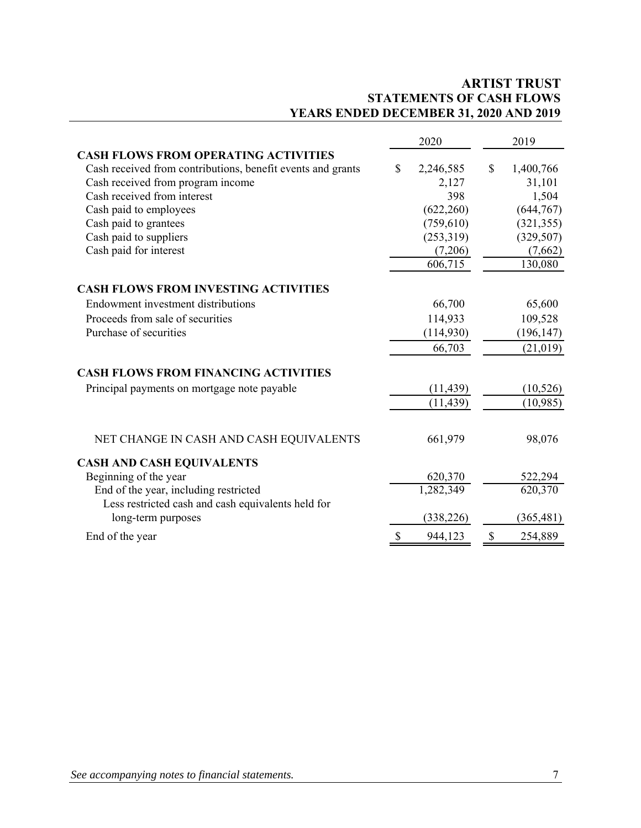# **ARTIST TRUST STATEMENTS OF CASH FLOWS YEARS ENDED DECEMBER 31, 2020 AND 2019**

|                                                             | 2020                   | 2019            |
|-------------------------------------------------------------|------------------------|-----------------|
| <b>CASH FLOWS FROM OPERATING ACTIVITIES</b>                 |                        |                 |
| Cash received from contributions, benefit events and grants | \$<br>2,246,585        | \$<br>1,400,766 |
| Cash received from program income                           | 2,127                  | 31,101          |
| Cash received from interest                                 | 398                    | 1,504           |
| Cash paid to employees                                      | (622, 260)             | (644, 767)      |
| Cash paid to grantees                                       | (759, 610)             | (321, 355)      |
| Cash paid to suppliers                                      | (253,319)              | (329, 507)      |
| Cash paid for interest                                      | (7,206)                | (7,662)         |
|                                                             | 606,715                | 130,080         |
| <b>CASH FLOWS FROM INVESTING ACTIVITIES</b>                 |                        |                 |
| Endowment investment distributions                          | 66,700                 | 65,600          |
| Proceeds from sale of securities                            | 114,933                | 109,528         |
| Purchase of securities                                      | (114,930)              | (196, 147)      |
|                                                             | 66,703                 | (21, 019)       |
| <b>CASH FLOWS FROM FINANCING ACTIVITIES</b>                 |                        |                 |
| Principal payments on mortgage note payable                 | (11, 439)              | (10, 526)       |
|                                                             | (11, 439)              | (10,985)        |
| NET CHANGE IN CASH AND CASH EQUIVALENTS                     | 661,979                | 98,076          |
| <b>CASH AND CASH EQUIVALENTS</b>                            |                        |                 |
| Beginning of the year                                       | 620,370                | 522,294         |
| End of the year, including restricted                       | $\overline{1,}282,349$ | 620,370         |
| Less restricted cash and cash equivalents held for          |                        |                 |
| long-term purposes                                          | (338, 226)             | (365, 481)      |
| End of the year                                             | \$<br>944,123          | \$<br>254,889   |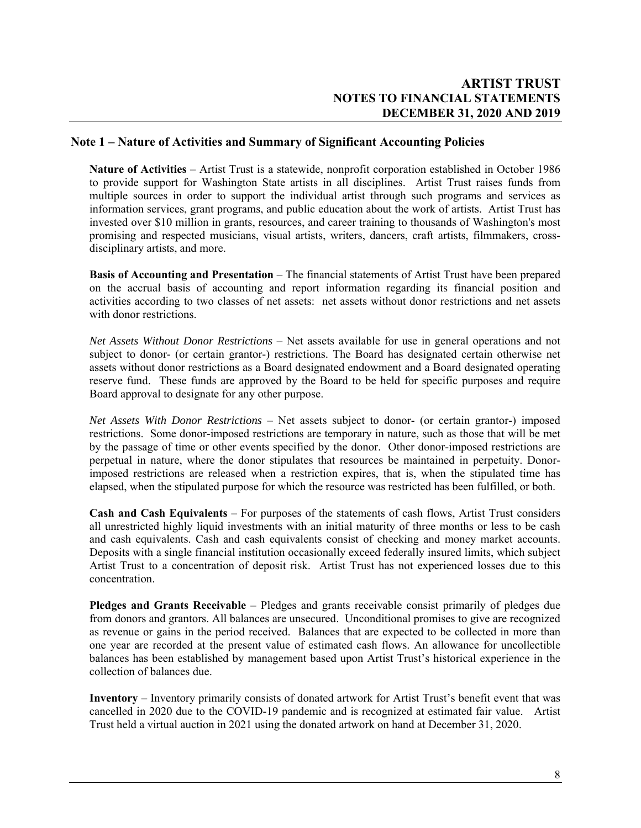# **Note 1 – Nature of Activities and Summary of Significant Accounting Policies**

**Nature of Activities** – Artist Trust is a statewide, nonprofit corporation established in October 1986 to provide support for Washington State artists in all disciplines. Artist Trust raises funds from multiple sources in order to support the individual artist through such programs and services as information services, grant programs, and public education about the work of artists. Artist Trust has invested over \$10 million in grants, resources, and career training to thousands of Washington's most promising and respected musicians, visual artists, writers, dancers, craft artists, filmmakers, crossdisciplinary artists, and more.

**Basis of Accounting and Presentation** – The financial statements of Artist Trust have been prepared on the accrual basis of accounting and report information regarding its financial position and activities according to two classes of net assets: net assets without donor restrictions and net assets with donor restrictions.

*Net Assets Without Donor Restrictions* – Net assets available for use in general operations and not subject to donor- (or certain grantor-) restrictions. The Board has designated certain otherwise net assets without donor restrictions as a Board designated endowment and a Board designated operating reserve fund. These funds are approved by the Board to be held for specific purposes and require Board approval to designate for any other purpose.

*Net Assets With Donor Restrictions* – Net assets subject to donor- (or certain grantor-) imposed restrictions. Some donor-imposed restrictions are temporary in nature, such as those that will be met by the passage of time or other events specified by the donor. Other donor-imposed restrictions are perpetual in nature, where the donor stipulates that resources be maintained in perpetuity. Donorimposed restrictions are released when a restriction expires, that is, when the stipulated time has elapsed, when the stipulated purpose for which the resource was restricted has been fulfilled, or both.

**Cash and Cash Equivalents** – For purposes of the statements of cash flows, Artist Trust considers all unrestricted highly liquid investments with an initial maturity of three months or less to be cash and cash equivalents. Cash and cash equivalents consist of checking and money market accounts. Deposits with a single financial institution occasionally exceed federally insured limits, which subject Artist Trust to a concentration of deposit risk. Artist Trust has not experienced losses due to this concentration.

**Pledges and Grants Receivable** – Pledges and grants receivable consist primarily of pledges due from donors and grantors. All balances are unsecured. Unconditional promises to give are recognized as revenue or gains in the period received. Balances that are expected to be collected in more than one year are recorded at the present value of estimated cash flows. An allowance for uncollectible balances has been established by management based upon Artist Trust's historical experience in the collection of balances due.

**Inventory** – Inventory primarily consists of donated artwork for Artist Trust's benefit event that was cancelled in 2020 due to the COVID-19 pandemic and is recognized at estimated fair value. Artist Trust held a virtual auction in 2021 using the donated artwork on hand at December 31, 2020.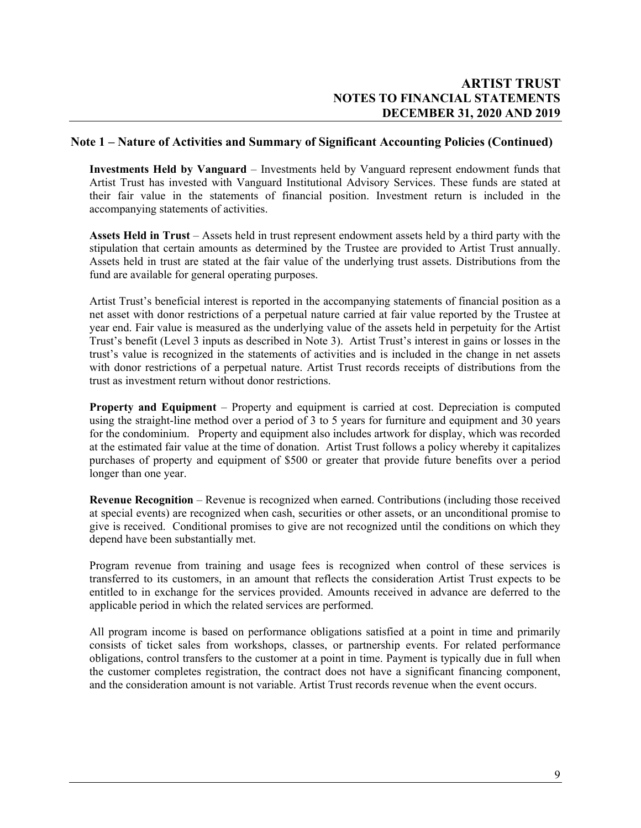#### **Note 1 – Nature of Activities and Summary of Significant Accounting Policies (Continued)**

**Investments Held by Vanguard** – Investments held by Vanguard represent endowment funds that Artist Trust has invested with Vanguard Institutional Advisory Services. These funds are stated at their fair value in the statements of financial position. Investment return is included in the accompanying statements of activities.

**Assets Held in Trust** – Assets held in trust represent endowment assets held by a third party with the stipulation that certain amounts as determined by the Trustee are provided to Artist Trust annually. Assets held in trust are stated at the fair value of the underlying trust assets. Distributions from the fund are available for general operating purposes.

Artist Trust's beneficial interest is reported in the accompanying statements of financial position as a net asset with donor restrictions of a perpetual nature carried at fair value reported by the Trustee at year end. Fair value is measured as the underlying value of the assets held in perpetuity for the Artist Trust's benefit (Level 3 inputs as described in Note 3). Artist Trust's interest in gains or losses in the trust's value is recognized in the statements of activities and is included in the change in net assets with donor restrictions of a perpetual nature. Artist Trust records receipts of distributions from the trust as investment return without donor restrictions.

**Property and Equipment** – Property and equipment is carried at cost. Depreciation is computed using the straight-line method over a period of 3 to 5 years for furniture and equipment and 30 years for the condominium. Property and equipment also includes artwork for display, which was recorded at the estimated fair value at the time of donation. Artist Trust follows a policy whereby it capitalizes purchases of property and equipment of \$500 or greater that provide future benefits over a period longer than one year.

**Revenue Recognition** – Revenue is recognized when earned. Contributions (including those received at special events) are recognized when cash, securities or other assets, or an unconditional promise to give is received. Conditional promises to give are not recognized until the conditions on which they depend have been substantially met.

Program revenue from training and usage fees is recognized when control of these services is transferred to its customers, in an amount that reflects the consideration Artist Trust expects to be entitled to in exchange for the services provided. Amounts received in advance are deferred to the applicable period in which the related services are performed.

All program income is based on performance obligations satisfied at a point in time and primarily consists of ticket sales from workshops, classes, or partnership events. For related performance obligations, control transfers to the customer at a point in time. Payment is typically due in full when the customer completes registration, the contract does not have a significant financing component, and the consideration amount is not variable. Artist Trust records revenue when the event occurs.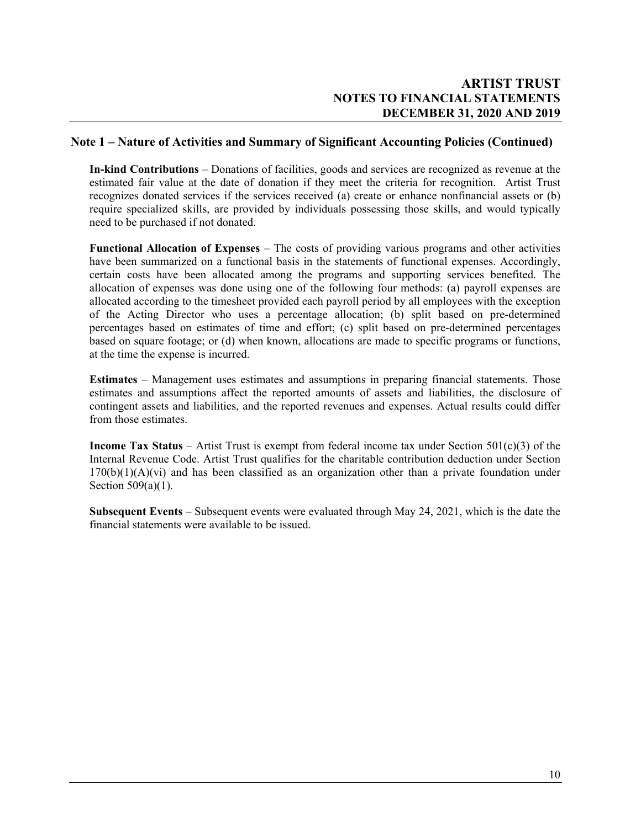### **Note 1 – Nature of Activities and Summary of Significant Accounting Policies (Continued)**

**In-kind Contributions** – Donations of facilities, goods and services are recognized as revenue at the estimated fair value at the date of donation if they meet the criteria for recognition. Artist Trust recognizes donated services if the services received (a) create or enhance nonfinancial assets or (b) require specialized skills, are provided by individuals possessing those skills, and would typically need to be purchased if not donated.

**Functional Allocation of Expenses** – The costs of providing various programs and other activities have been summarized on a functional basis in the statements of functional expenses. Accordingly, certain costs have been allocated among the programs and supporting services benefited. The allocation of expenses was done using one of the following four methods: (a) payroll expenses are allocated according to the timesheet provided each payroll period by all employees with the exception of the Acting Director who uses a percentage allocation; (b) split based on pre-determined percentages based on estimates of time and effort; (c) split based on pre-determined percentages based on square footage; or (d) when known, allocations are made to specific programs or functions, at the time the expense is incurred.

**Estimates** – Management uses estimates and assumptions in preparing financial statements. Those estimates and assumptions affect the reported amounts of assets and liabilities, the disclosure of contingent assets and liabilities, and the reported revenues and expenses. Actual results could differ from those estimates.

**Income Tax Status** – Artist Trust is exempt from federal income tax under Section 501(c)(3) of the Internal Revenue Code. Artist Trust qualifies for the charitable contribution deduction under Section  $170(b)(1)(A)(vi)$  and has been classified as an organization other than a private foundation under Section 509(a)(1).

**Subsequent Events** – Subsequent events were evaluated through May 24, 2021, which is the date the financial statements were available to be issued.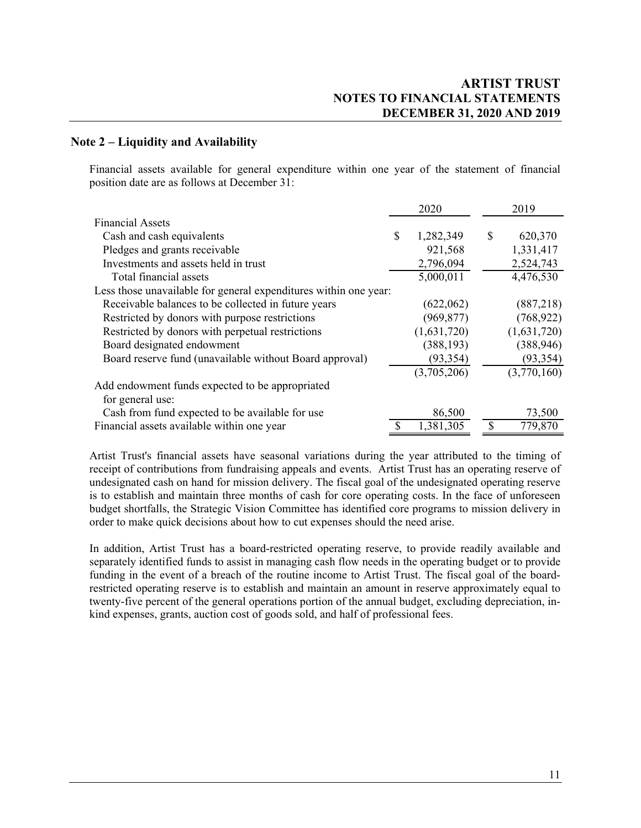# **Note 2 – Liquidity and Availability**

Financial assets available for general expenditure within one year of the statement of financial position date are as follows at December 31:

|                                                                  |               | 2020        |   | 2019        |
|------------------------------------------------------------------|---------------|-------------|---|-------------|
| <b>Financial Assets</b>                                          |               |             |   |             |
| Cash and cash equivalents                                        | \$            | 1,282,349   | S | 620,370     |
| Pledges and grants receivable                                    |               | 921,568     |   | 1,331,417   |
| Investments and assets held in trust                             |               | 2,796,094   |   | 2,524,743   |
| Total financial assets                                           |               | 5,000,011   |   | 4,476,530   |
| Less those unavailable for general expenditures within one year: |               |             |   |             |
| Receivable balances to be collected in future years              |               | (622,062)   |   | (887,218)   |
| Restricted by donors with purpose restrictions                   |               | (969, 877)  |   | (768, 922)  |
| Restricted by donors with perpetual restrictions                 |               | (1,631,720) |   | (1,631,720) |
| Board designated endowment                                       |               | (388, 193)  |   | (388, 946)  |
| Board reserve fund (unavailable without Board approval)          |               | (93, 354)   |   | (93, 354)   |
|                                                                  |               | (3,705,206) |   | (3,770,160) |
| Add endowment funds expected to be appropriated                  |               |             |   |             |
| for general use:                                                 |               |             |   |             |
| Cash from fund expected to be available for use                  |               | 86,500      |   | 73,500      |
| Financial assets available within one year                       | <sup>\$</sup> | 1,381,305   |   | 779,870     |

Artist Trust's financial assets have seasonal variations during the year attributed to the timing of receipt of contributions from fundraising appeals and events. Artist Trust has an operating reserve of undesignated cash on hand for mission delivery. The fiscal goal of the undesignated operating reserve is to establish and maintain three months of cash for core operating costs. In the face of unforeseen budget shortfalls, the Strategic Vision Committee has identified core programs to mission delivery in order to make quick decisions about how to cut expenses should the need arise.

In addition, Artist Trust has a board-restricted operating reserve, to provide readily available and separately identified funds to assist in managing cash flow needs in the operating budget or to provide funding in the event of a breach of the routine income to Artist Trust. The fiscal goal of the boardrestricted operating reserve is to establish and maintain an amount in reserve approximately equal to twenty-five percent of the general operations portion of the annual budget, excluding depreciation, inkind expenses, grants, auction cost of goods sold, and half of professional fees.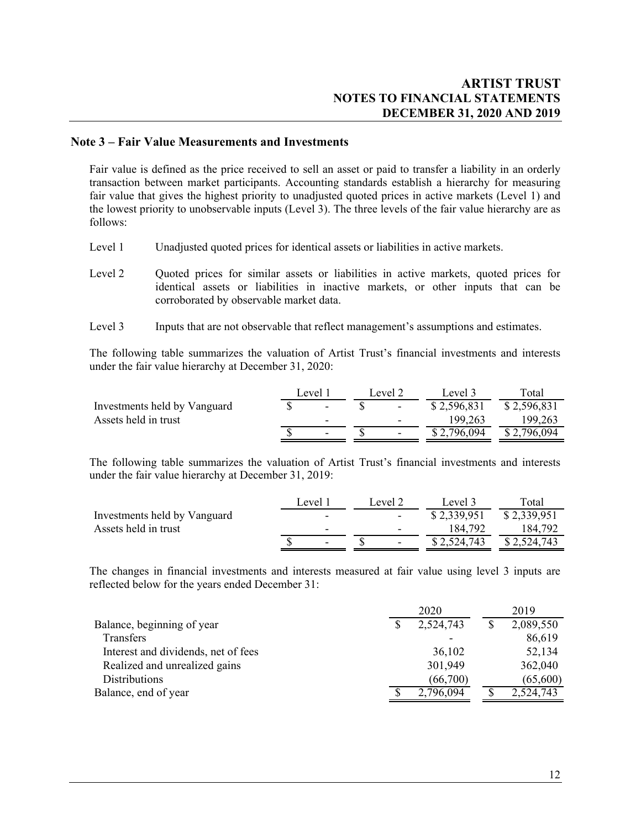#### **Note 3 – Fair Value Measurements and Investments**

Fair value is defined as the price received to sell an asset or paid to transfer a liability in an orderly transaction between market participants. Accounting standards establish a hierarchy for measuring fair value that gives the highest priority to unadjusted quoted prices in active markets (Level 1) and the lowest priority to unobservable inputs (Level 3). The three levels of the fair value hierarchy are as follows:

- Level 1 Unadjusted quoted prices for identical assets or liabilities in active markets.
- Level 2 Quoted prices for similar assets or liabilities in active markets, quoted prices for identical assets or liabilities in inactive markets, or other inputs that can be corroborated by observable market data.
- Level 3 Inputs that are not observable that reflect management's assumptions and estimates.

 The following table summarizes the valuation of Artist Trust's financial investments and interests under the fair value hierarchy at December 31, 2020:

|                              | Level 1                  | Level 2                  | Level 3     | Total       |
|------------------------------|--------------------------|--------------------------|-------------|-------------|
| Investments held by Vanguard | $\overline{\phantom{0}}$ | $\overline{\phantom{a}}$ | \$2,596,831 | \$2,596,831 |
| Assets held in trust         | $\overline{\phantom{0}}$ | $\overline{\phantom{0}}$ | 199,263     | 199,263     |
|                              | -                        | $\overline{\phantom{0}}$ | \$2,796,094 | \$2,796,094 |
|                              |                          |                          |             |             |

The following table summarizes the valuation of Artist Trust's financial investments and interests under the fair value hierarchy at December 31, 2019:

|                              | Level 1 | Level 2                  | Level 3     | $\tau$ otal |
|------------------------------|---------|--------------------------|-------------|-------------|
| Investments held by Vanguard | -       | $\overline{\phantom{a}}$ | \$2,339,951 | \$2,339,951 |
| Assets held in trust         | -       | $\overline{\phantom{0}}$ | 184.792     | 184.792     |
|                              | -       | $\overline{\phantom{0}}$ | \$2,524,743 | \$2,524,743 |

The changes in financial investments and interests measured at fair value using level 3 inputs are reflected below for the years ended December 31:

|                                     | 2020      | 2019      |
|-------------------------------------|-----------|-----------|
| Balance, beginning of year          | 2,524,743 | 2,089,550 |
| Transfers                           |           | 86,619    |
| Interest and dividends, net of fees | 36,102    | 52,134    |
| Realized and unrealized gains       | 301,949   | 362,040   |
| <b>Distributions</b>                | (66,700)  | (65,600)  |
| Balance, end of year                | 2,796,094 | 2,524,743 |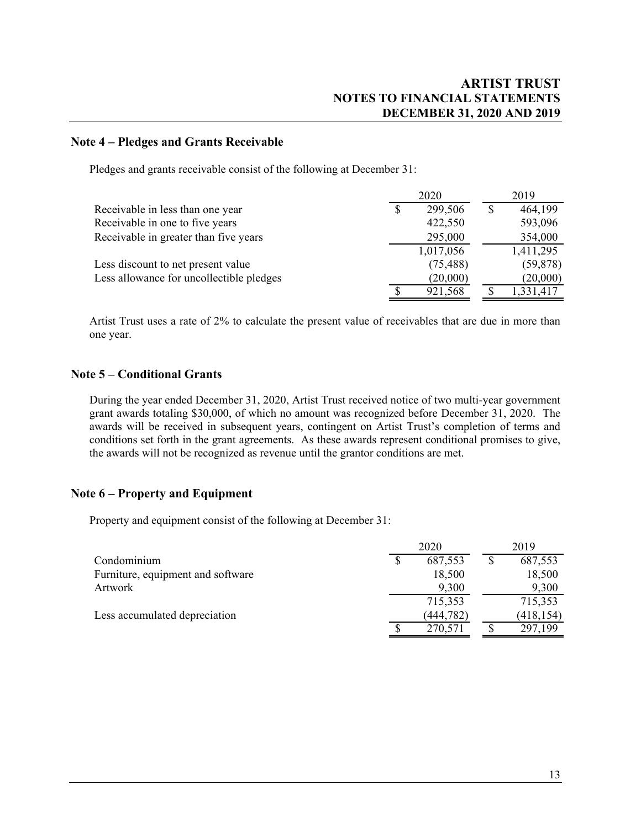### **Note 4 – Pledges and Grants Receivable**

Pledges and grants receivable consist of the following at December 31:

|                                          | 2020          | 2019      |
|------------------------------------------|---------------|-----------|
| Receivable in less than one year         | \$<br>299,506 | 464,199   |
| Receivable in one to five years          | 422,550       | 593,096   |
| Receivable in greater than five years    | 295,000       | 354,000   |
|                                          | 1,017,056     | 1,411,295 |
| Less discount to net present value       | (75, 488)     | (59, 878) |
| Less allowance for uncollectible pledges | (20,000)      | (20,000)  |
|                                          | 921,568       | 1,331,417 |

Artist Trust uses a rate of 2% to calculate the present value of receivables that are due in more than one year.

# **Note 5 – Conditional Grants**

During the year ended December 31, 2020, Artist Trust received notice of two multi-year government grant awards totaling \$30,000, of which no amount was recognized before December 31, 2020. The awards will be received in subsequent years, contingent on Artist Trust's completion of terms and conditions set forth in the grant agreements. As these awards represent conditional promises to give, the awards will not be recognized as revenue until the grantor conditions are met.

# **Note 6 – Property and Equipment**

Property and equipment consist of the following at December 31:

|                                   | 2020 |            |  | 2019       |
|-----------------------------------|------|------------|--|------------|
| Condominium                       | S    | 687,553    |  | 687,553    |
| Furniture, equipment and software |      | 18,500     |  | 18,500     |
| Artwork                           |      | 9,300      |  | 9,300      |
|                                   |      | 715,353    |  | 715,353    |
| Less accumulated depreciation     |      | (444, 782) |  | (418, 154) |
|                                   |      | 270,571    |  | 297,199    |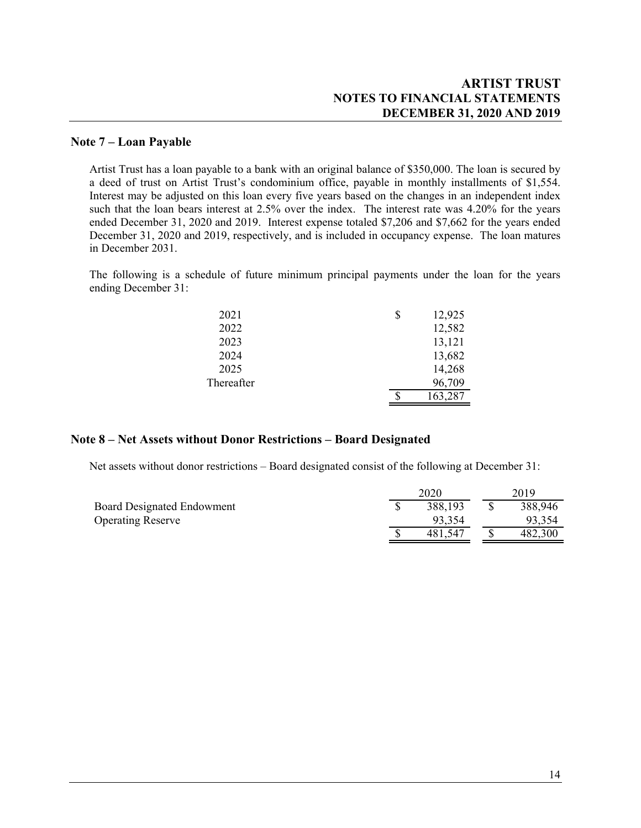# **ARTIST TRUST NOTES TO FINANCIAL STATEMENTS DECEMBER 31, 2020 AND 2019**

### **Note 7 – Loan Payable**

Artist Trust has a loan payable to a bank with an original balance of \$350,000. The loan is secured by a deed of trust on Artist Trust's condominium office, payable in monthly installments of \$1,554. Interest may be adjusted on this loan every five years based on the changes in an independent index such that the loan bears interest at 2.5% over the index. The interest rate was 4.20% for the years ended December 31, 2020 and 2019. Interest expense totaled \$7,206 and \$7,662 for the years ended December 31, 2020 and 2019, respectively, and is included in occupancy expense. The loan matures in December 2031.

The following is a schedule of future minimum principal payments under the loan for the years ending December 31:

| 2021       | \$<br>12,925 |
|------------|--------------|
| 2022       | 12,582       |
| 2023       | 13,121       |
| 2024       | 13,682       |
| 2025       | 14,268       |
| Thereafter | 96,709       |
|            | 163,287      |

#### **Note 8 – Net Assets without Donor Restrictions – Board Designated**

Net assets without donor restrictions – Board designated consist of the following at December 31:

|                                   |  | 2019    |         |  |
|-----------------------------------|--|---------|---------|--|
| <b>Board Designated Endowment</b> |  | 388,193 | 388,946 |  |
| <b>Operating Reserve</b>          |  | 93.354  | 93.354  |  |
|                                   |  | 481.547 | 482,300 |  |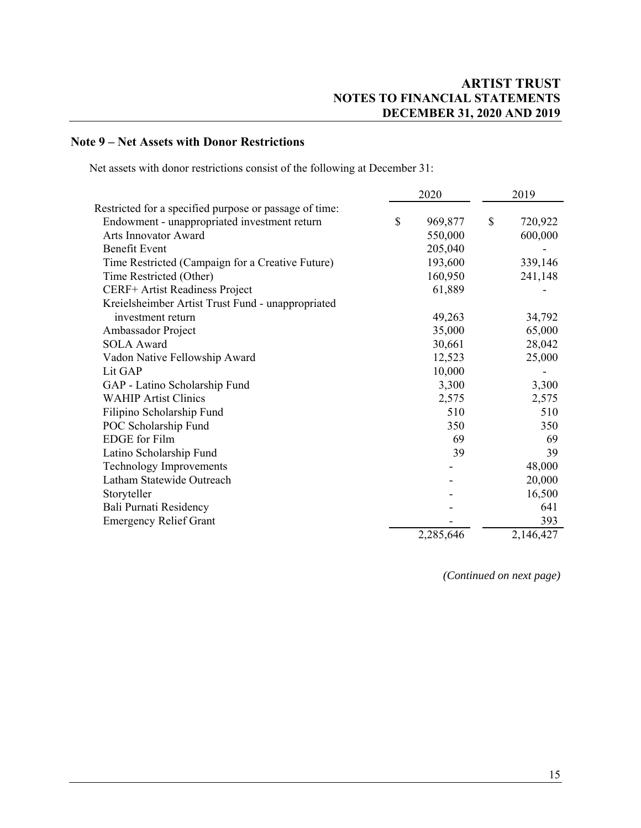# **Note 9 – Net Assets with Donor Restrictions**

Net assets with donor restrictions consist of the following at December 31:

|                                                        |    | 2020      | 2019 |           |
|--------------------------------------------------------|----|-----------|------|-----------|
| Restricted for a specified purpose or passage of time: |    |           |      |           |
| Endowment - unappropriated investment return           | \$ | 969,877   | \$   | 720,922   |
| Arts Innovator Award                                   |    | 550,000   |      | 600,000   |
| <b>Benefit Event</b>                                   |    | 205,040   |      |           |
| Time Restricted (Campaign for a Creative Future)       |    | 193,600   |      | 339,146   |
| Time Restricted (Other)                                |    | 160,950   |      | 241,148   |
| CERF+ Artist Readiness Project                         |    | 61,889    |      |           |
| Kreielsheimber Artist Trust Fund - unappropriated      |    |           |      |           |
| investment return                                      |    | 49,263    |      | 34,792    |
| Ambassador Project                                     |    | 35,000    |      | 65,000    |
| SOLA Award                                             |    | 30,661    |      | 28,042    |
| Vadon Native Fellowship Award                          |    | 12,523    |      | 25,000    |
| Lit GAP                                                |    | 10,000    |      |           |
| GAP - Latino Scholarship Fund                          |    | 3,300     |      | 3,300     |
| <b>WAHIP Artist Clinics</b>                            |    | 2,575     |      | 2,575     |
| Filipino Scholarship Fund                              |    | 510       |      | 510       |
| POC Scholarship Fund                                   |    | 350       |      | 350       |
| <b>EDGE</b> for Film                                   |    | 69        |      | 69        |
| Latino Scholarship Fund                                |    | 39        |      | 39        |
| <b>Technology Improvements</b>                         |    |           |      | 48,000    |
| Latham Statewide Outreach                              |    |           |      | 20,000    |
| Storyteller                                            |    |           |      | 16,500    |
| Bali Purnati Residency                                 |    |           |      | 641       |
| <b>Emergency Relief Grant</b>                          |    |           |      | 393       |
|                                                        |    | 2,285,646 |      | 2,146,427 |

*(Continued on next page)*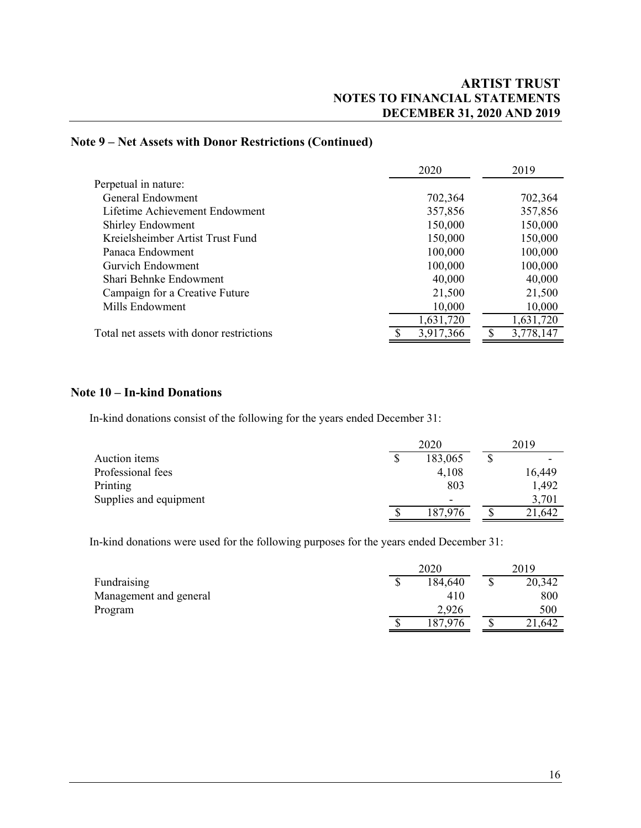# **Note 9 – Net Assets with Donor Restrictions (Continued)**

|                                          | 2020      | 2019      |
|------------------------------------------|-----------|-----------|
| Perpetual in nature:                     |           |           |
| General Endowment                        | 702,364   | 702,364   |
| Lifetime Achievement Endowment           | 357,856   | 357,856   |
| <b>Shirley Endowment</b>                 | 150,000   | 150,000   |
| Kreielsheimber Artist Trust Fund         | 150,000   | 150,000   |
| Panaca Endowment                         | 100,000   | 100,000   |
| Gurvich Endowment                        | 100,000   | 100,000   |
| Shari Behnke Endowment                   | 40,000    | 40,000    |
| Campaign for a Creative Future           | 21,500    | 21,500    |
| Mills Endowment                          | 10,000    | 10,000    |
|                                          | 1,631,720 | 1,631,720 |
| Total net assets with donor restrictions | 3,917,366 | 3,778,147 |

# **Note 10 – In-kind Donations**

In-kind donations consist of the following for the years ended December 31:

|                        | 2020                     |  | 2019   |  |  |
|------------------------|--------------------------|--|--------|--|--|
| Auction items          | 183,065                  |  |        |  |  |
| Professional fees      | 4,108                    |  | 16,449 |  |  |
| Printing               | 803                      |  | 1,492  |  |  |
| Supplies and equipment | $\overline{\phantom{0}}$ |  | 3,701  |  |  |
|                        | 187,976                  |  | 21,642 |  |  |

In-kind donations were used for the following purposes for the years ended December 31:

|                        | 2020 |         | 2019 |        |  |
|------------------------|------|---------|------|--------|--|
| Fundraising            | J    | 184,640 |      | 20,342 |  |
| Management and general |      | 410     |      | 800    |  |
| Program                |      | 2,926   |      | 500    |  |
|                        | ⋔    | 187,976 |      | 21,642 |  |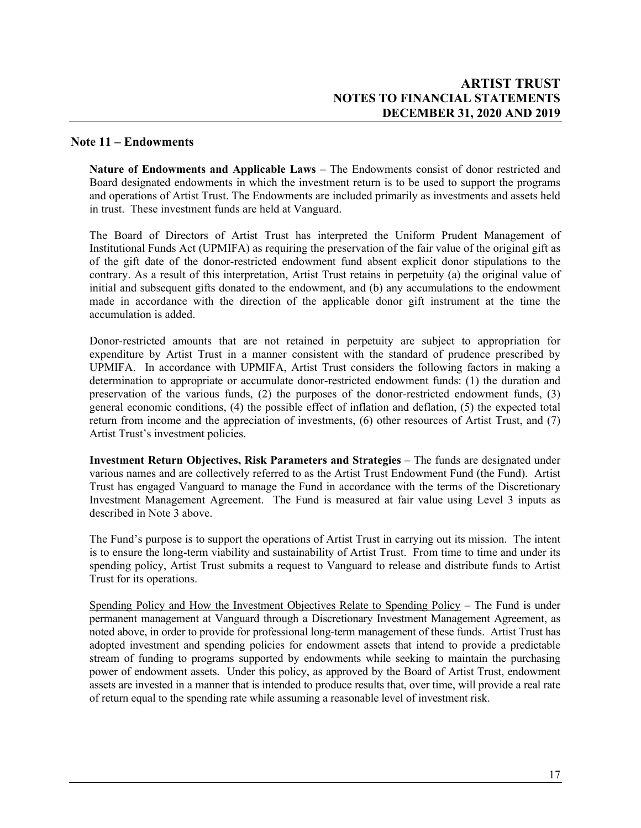### **Note 11 – Endowments**

**Nature of Endowments and Applicable Laws** – The Endowments consist of donor restricted and Board designated endowments in which the investment return is to be used to support the programs and operations of Artist Trust. The Endowments are included primarily as investments and assets held in trust. These investment funds are held at Vanguard.

The Board of Directors of Artist Trust has interpreted the Uniform Prudent Management of Institutional Funds Act (UPMIFA) as requiring the preservation of the fair value of the original gift as of the gift date of the donor-restricted endowment fund absent explicit donor stipulations to the contrary. As a result of this interpretation, Artist Trust retains in perpetuity (a) the original value of initial and subsequent gifts donated to the endowment, and (b) any accumulations to the endowment made in accordance with the direction of the applicable donor gift instrument at the time the accumulation is added.

Donor-restricted amounts that are not retained in perpetuity are subject to appropriation for expenditure by Artist Trust in a manner consistent with the standard of prudence prescribed by UPMIFA. In accordance with UPMIFA, Artist Trust considers the following factors in making a determination to appropriate or accumulate donor-restricted endowment funds: (1) the duration and preservation of the various funds, (2) the purposes of the donor-restricted endowment funds, (3) general economic conditions, (4) the possible effect of inflation and deflation, (5) the expected total return from income and the appreciation of investments, (6) other resources of Artist Trust, and (7) Artist Trust's investment policies.

**Investment Return Objectives, Risk Parameters and Strategies** – The funds are designated under various names and are collectively referred to as the Artist Trust Endowment Fund (the Fund). Artist Trust has engaged Vanguard to manage the Fund in accordance with the terms of the Discretionary Investment Management Agreement. The Fund is measured at fair value using Level 3 inputs as described in Note 3 above.

The Fund's purpose is to support the operations of Artist Trust in carrying out its mission. The intent is to ensure the long-term viability and sustainability of Artist Trust. From time to time and under its spending policy, Artist Trust submits a request to Vanguard to release and distribute funds to Artist Trust for its operations.

Spending Policy and How the Investment Objectives Relate to Spending Policy – The Fund is under permanent management at Vanguard through a Discretionary Investment Management Agreement, as noted above, in order to provide for professional long-term management of these funds. Artist Trust has adopted investment and spending policies for endowment assets that intend to provide a predictable stream of funding to programs supported by endowments while seeking to maintain the purchasing power of endowment assets. Under this policy, as approved by the Board of Artist Trust, endowment assets are invested in a manner that is intended to produce results that, over time, will provide a real rate of return equal to the spending rate while assuming a reasonable level of investment risk.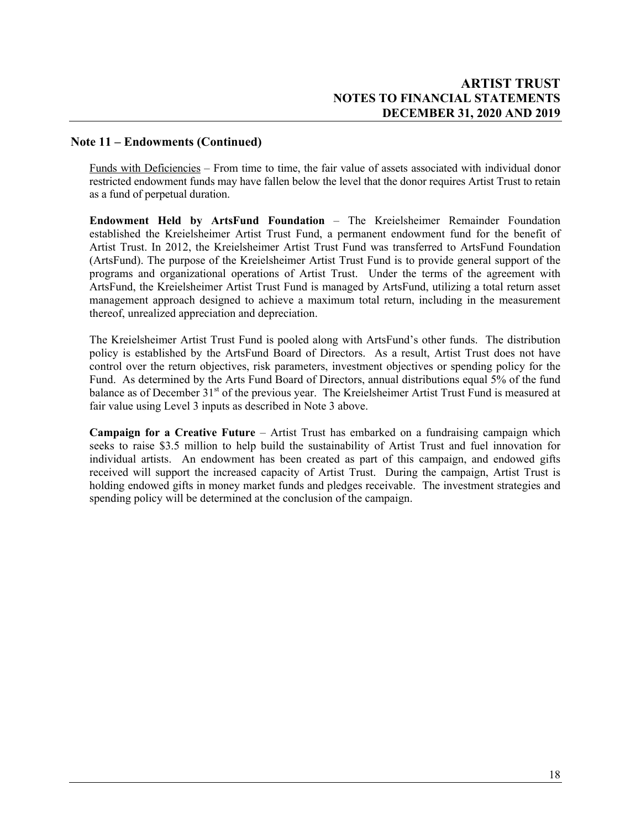# **Note 11 – Endowments (Continued)**

Funds with Deficiencies – From time to time, the fair value of assets associated with individual donor restricted endowment funds may have fallen below the level that the donor requires Artist Trust to retain as a fund of perpetual duration.

**Endowment Held by ArtsFund Foundation** – The Kreielsheimer Remainder Foundation established the Kreielsheimer Artist Trust Fund, a permanent endowment fund for the benefit of Artist Trust. In 2012, the Kreielsheimer Artist Trust Fund was transferred to ArtsFund Foundation (ArtsFund). The purpose of the Kreielsheimer Artist Trust Fund is to provide general support of the programs and organizational operations of Artist Trust. Under the terms of the agreement with ArtsFund, the Kreielsheimer Artist Trust Fund is managed by ArtsFund, utilizing a total return asset management approach designed to achieve a maximum total return, including in the measurement thereof, unrealized appreciation and depreciation.

The Kreielsheimer Artist Trust Fund is pooled along with ArtsFund's other funds. The distribution policy is established by the ArtsFund Board of Directors. As a result, Artist Trust does not have control over the return objectives, risk parameters, investment objectives or spending policy for the Fund. As determined by the Arts Fund Board of Directors, annual distributions equal 5% of the fund balance as of December 31<sup>st</sup> of the previous year. The Kreielsheimer Artist Trust Fund is measured at fair value using Level 3 inputs as described in Note 3 above.

**Campaign for a Creative Future** – Artist Trust has embarked on a fundraising campaign which seeks to raise \$3.5 million to help build the sustainability of Artist Trust and fuel innovation for individual artists. An endowment has been created as part of this campaign, and endowed gifts received will support the increased capacity of Artist Trust. During the campaign, Artist Trust is holding endowed gifts in money market funds and pledges receivable. The investment strategies and spending policy will be determined at the conclusion of the campaign.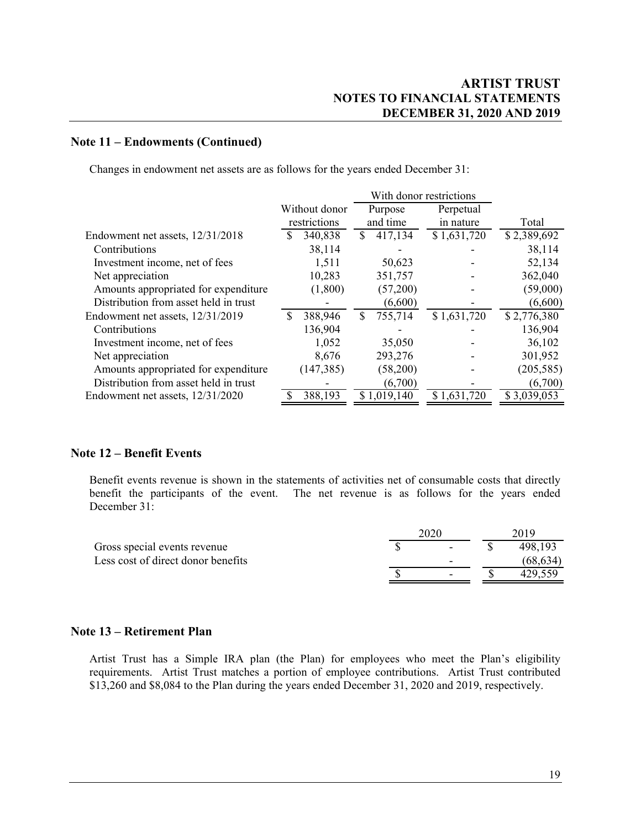### **Note 11 – Endowments (Continued)**

Changes in endowment net assets are as follows for the years ended December 31:

|                                       |   |               |    | With donor restrictions |  |             |             |  |
|---------------------------------------|---|---------------|----|-------------------------|--|-------------|-------------|--|
|                                       |   | Without donor |    | Perpetual<br>Purpose    |  |             |             |  |
|                                       |   | restrictions  |    | and time                |  | in nature   | Total       |  |
| Endowment net assets, 12/31/2018      |   | 340,838       | S. | 417,134                 |  | \$1,631,720 | \$2,389,692 |  |
| Contributions                         |   | 38,114        |    |                         |  |             | 38,114      |  |
| Investment income, net of fees        |   | 1,511         |    | 50,623                  |  |             | 52,134      |  |
| Net appreciation                      |   | 10,283        |    | 351,757                 |  |             | 362,040     |  |
| Amounts appropriated for expenditure  |   | (1,800)       |    | (57,200)                |  |             | (59,000)    |  |
| Distribution from asset held in trust |   |               |    | (6,600)                 |  |             | (6,600)     |  |
| Endowment net assets, 12/31/2019      | S | 388,946       | S  | 755,714                 |  | \$1,631,720 | \$2,776,380 |  |
| Contributions                         |   | 136,904       |    |                         |  |             | 136,904     |  |
| Investment income, net of fees        |   | 1,052         |    | 35,050                  |  |             | 36,102      |  |
| Net appreciation                      |   | 8,676         |    | 293,276                 |  |             | 301,952     |  |
| Amounts appropriated for expenditure  |   | (147, 385)    |    | (58,200)                |  |             | (205, 585)  |  |
| Distribution from asset held in trust |   |               |    | (6,700)                 |  |             | (6,700)     |  |
| Endowment net assets, 12/31/2020      |   | 388,193       |    | \$1,019,140             |  | \$1,631,720 | \$3,039,053 |  |

# **Note 12 – Benefit Events**

Benefit events revenue is shown in the statements of activities net of consumable costs that directly benefit the participants of the event. The net revenue is as follows for the years ended December 31:

|                                    |  |                          |  | 2019     |  |  |
|------------------------------------|--|--------------------------|--|----------|--|--|
| Gross special events revenue       |  | $\qquad \qquad$          |  | 498.193  |  |  |
| Less cost of direct donor benefits |  | -                        |  | (68.634) |  |  |
|                                    |  | $\overline{\phantom{a}}$ |  |          |  |  |

#### **Note 13 – Retirement Plan**

Artist Trust has a Simple IRA plan (the Plan) for employees who meet the Plan's eligibility requirements. Artist Trust matches a portion of employee contributions. Artist Trust contributed \$13,260 and \$8,084 to the Plan during the years ended December 31, 2020 and 2019, respectively.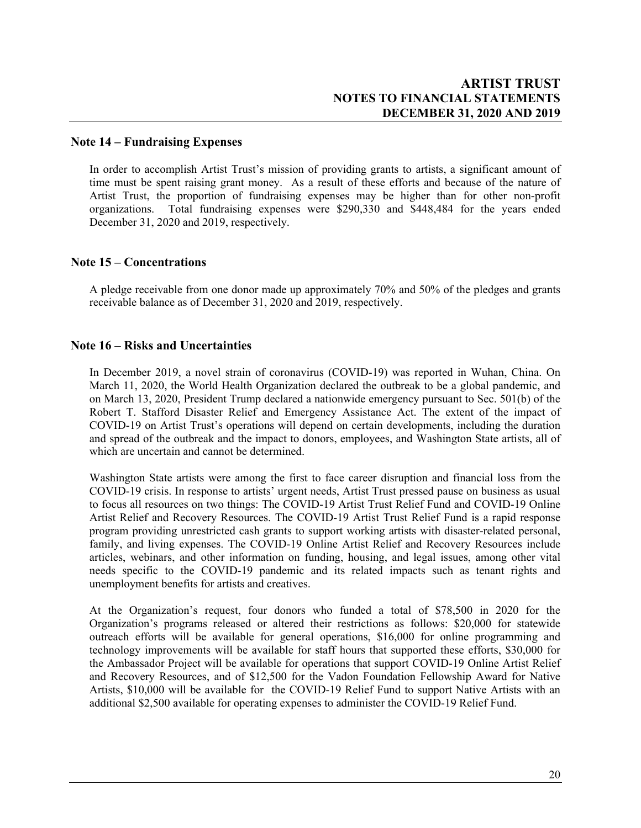### **Note 14 – Fundraising Expenses**

In order to accomplish Artist Trust's mission of providing grants to artists, a significant amount of time must be spent raising grant money. As a result of these efforts and because of the nature of Artist Trust, the proportion of fundraising expenses may be higher than for other non-profit organizations. Total fundraising expenses were \$290,330 and \$448,484 for the years ended December 31, 2020 and 2019, respectively.

### **Note 15 – Concentrations**

A pledge receivable from one donor made up approximately 70% and 50% of the pledges and grants receivable balance as of December 31, 2020 and 2019, respectively.

### **Note 16 – Risks and Uncertainties**

In December 2019, a novel strain of coronavirus (COVID-19) was reported in Wuhan, China. On March 11, 2020, the World Health Organization declared the outbreak to be a global pandemic, and on March 13, 2020, President Trump declared a nationwide emergency pursuant to Sec. 501(b) of the Robert T. Stafford Disaster Relief and Emergency Assistance Act. The extent of the impact of COVID-19 on Artist Trust's operations will depend on certain developments, including the duration and spread of the outbreak and the impact to donors, employees, and Washington State artists, all of which are uncertain and cannot be determined.

Washington State artists were among the first to face career disruption and financial loss from the COVID-19 crisis. In response to artists' urgent needs, Artist Trust pressed pause on business as usual to focus all resources on two things: The COVID-19 Artist Trust Relief Fund and COVID-19 Online Artist Relief and Recovery Resources. The COVID-19 Artist Trust Relief Fund is a rapid response program providing unrestricted cash grants to support working artists with disaster-related personal, family, and living expenses. The COVID-19 Online Artist Relief and Recovery Resources include articles, webinars, and other information on funding, housing, and legal issues, among other vital needs specific to the COVID-19 pandemic and its related impacts such as tenant rights and unemployment benefits for artists and creatives.

At the Organization's request, four donors who funded a total of \$78,500 in 2020 for the Organization's programs released or altered their restrictions as follows: \$20,000 for statewide outreach efforts will be available for general operations, \$16,000 for online programming and technology improvements will be available for staff hours that supported these efforts, \$30,000 for the Ambassador Project will be available for operations that support COVID-19 Online Artist Relief and Recovery Resources, and of \$12,500 for the Vadon Foundation Fellowship Award for Native Artists, \$10,000 will be available for the COVID-19 Relief Fund to support Native Artists with an additional \$2,500 available for operating expenses to administer the COVID-19 Relief Fund.